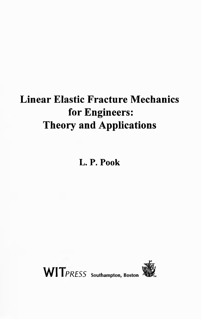# **Linear Elastic Fracture Mechanics for Engineers: Theory and Applications**

**L. P. Pook**



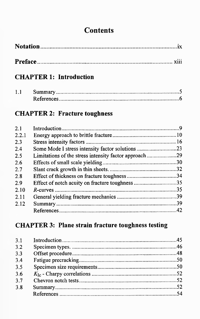## **Contents**

|--|--|

#### **CHAPTER 1: Introduction**

## **CHAPTER 2: Fracture toughness**

| 2.1   |                                                       |     |
|-------|-------------------------------------------------------|-----|
| 2.2.1 |                                                       |     |
| 2.3   |                                                       |     |
| 2.4   | Some Mode I stress intensity factor solutions23       |     |
| 2.5   | Limitations of the stress intensity factor approach29 |     |
| 2.6   |                                                       |     |
| 2.7   |                                                       |     |
| 2.8   |                                                       | .34 |
| 2.9   | Effect of notch acuity on fracture toughness 35       |     |
| 2.10  |                                                       | .35 |
| 2.11  |                                                       |     |
| 2.12  |                                                       | .39 |
|       |                                                       |     |
|       |                                                       |     |

## **CHAPTER 3: Plane strain fracture toughness testing**

| 3.1 |  |
|-----|--|
| 3.2 |  |
| 3.3 |  |
| 3.4 |  |
| 3.5 |  |
| 36  |  |
| 3.7 |  |
| 3.8 |  |
|     |  |
|     |  |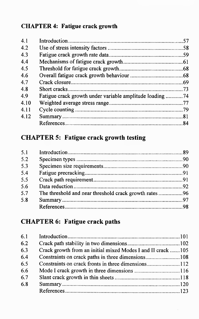#### **CHAPTER4: Fatigue crack growth**

| 4.1  |                                                          |    |
|------|----------------------------------------------------------|----|
| 4.2  |                                                          |    |
| 4.3  |                                                          |    |
| 4.4  |                                                          |    |
| 4.5  |                                                          |    |
| 4.6  |                                                          |    |
| 4.7  |                                                          |    |
| 4.8  |                                                          |    |
| 4.9  | Fatigue crack growth under variable amplitude loading 74 |    |
| 4.10 |                                                          |    |
| 4.11 |                                                          |    |
| 4.12 |                                                          |    |
|      |                                                          |    |
|      | <b>CHAPTER 5: Fatigue crack growth testing</b>           |    |
|      |                                                          | 89 |

## **CHAPTER 5: Fatigue crack growth testing**

| 5.1 |                                                        |  |
|-----|--------------------------------------------------------|--|
| 5.2 |                                                        |  |
| 5.3 |                                                        |  |
| 5.4 |                                                        |  |
| 5.5 |                                                        |  |
| 5.6 |                                                        |  |
| 5.7 | The threshold and near threshold crack growth rates 96 |  |
| 5.8 |                                                        |  |
|     |                                                        |  |
|     |                                                        |  |

## **CHAPTER 6: Fatigue crack paths**

| 6.1 |                                                             |  |
|-----|-------------------------------------------------------------|--|
| 6.2 |                                                             |  |
| 6.3 | Crack growth from an initial mixed Modes I and II crack 105 |  |
| 6.4 |                                                             |  |
| 6.5 | Constraints on crack fronts in three dimensions112          |  |
| 6.6 |                                                             |  |
| 6.7 |                                                             |  |
| 6.8 |                                                             |  |
|     |                                                             |  |